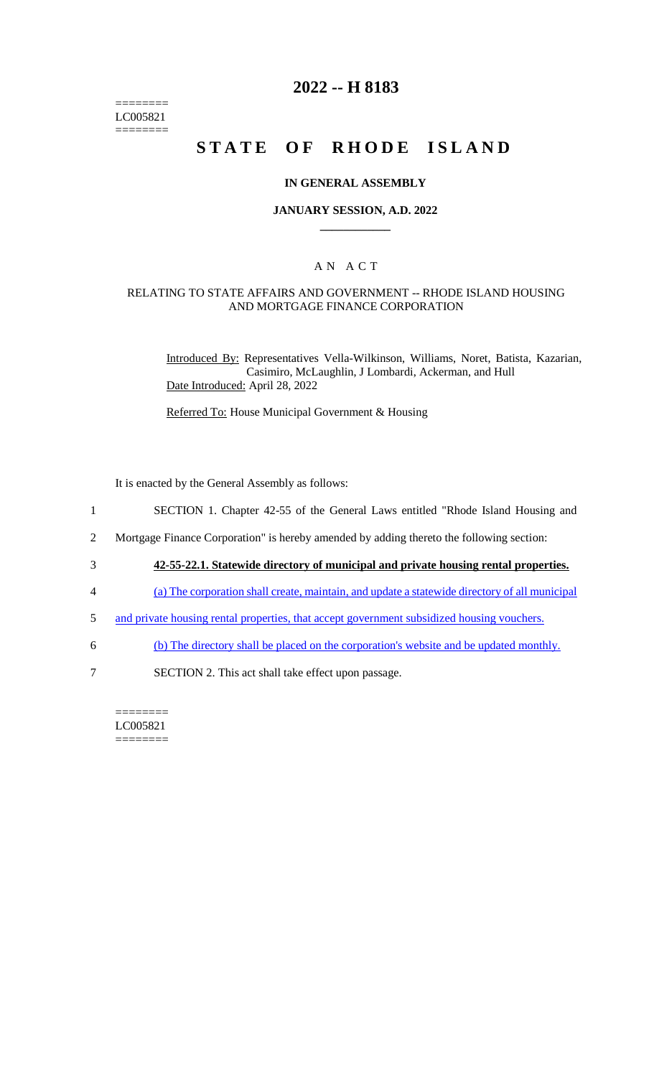======== LC005821 ========

# **2022 -- H 8183**

# **STATE OF RHODE ISLAND**

## **IN GENERAL ASSEMBLY**

## **JANUARY SESSION, A.D. 2022 \_\_\_\_\_\_\_\_\_\_\_\_**

## A N A C T

## RELATING TO STATE AFFAIRS AND GOVERNMENT -- RHODE ISLAND HOUSING AND MORTGAGE FINANCE CORPORATION

Introduced By: Representatives Vella-Wilkinson, Williams, Noret, Batista, Kazarian, Casimiro, McLaughlin, J Lombardi, Ackerman, and Hull Date Introduced: April 28, 2022

Referred To: House Municipal Government & Housing

It is enacted by the General Assembly as follows:

1 SECTION 1. Chapter 42-55 of the General Laws entitled "Rhode Island Housing and

2 Mortgage Finance Corporation" is hereby amended by adding thereto the following section:

- 3 **42-55-22.1. Statewide directory of municipal and private housing rental properties.**
- 4 (a) The corporation shall create, maintain, and update a statewide directory of all municipal
- 5 and private housing rental properties, that accept government subsidized housing vouchers.
- 6 (b) The directory shall be placed on the corporation's website and be updated monthly.
- 7 SECTION 2. This act shall take effect upon passage.

#### ======== LC005821

========